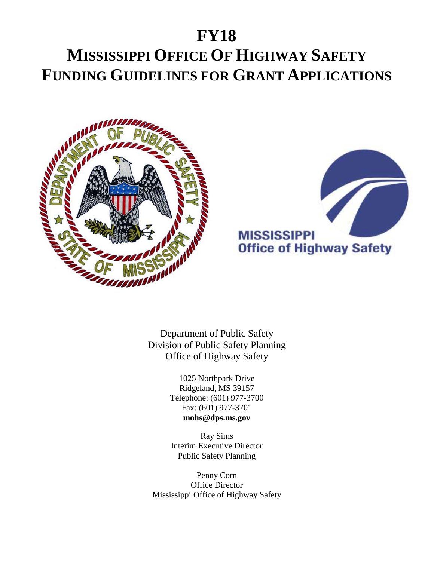# **FY18 MISSISSIPPI OFFICE OF HIGHWAY SAFETY FUNDING GUIDELINES FOR GRANT APPLICATIONS**





Department of Public Safety Division of Public Safety Planning Office of Highway Safety

> 1025 Northpark Drive Ridgeland, MS 39157 Telephone: (601) 977-3700 Fax: (601) 977-3701 **mohs@dps.ms.gov**

Ray Sims Interim Executive Director Public Safety Planning

Penny Corn Office Director Mississippi Office of Highway Safety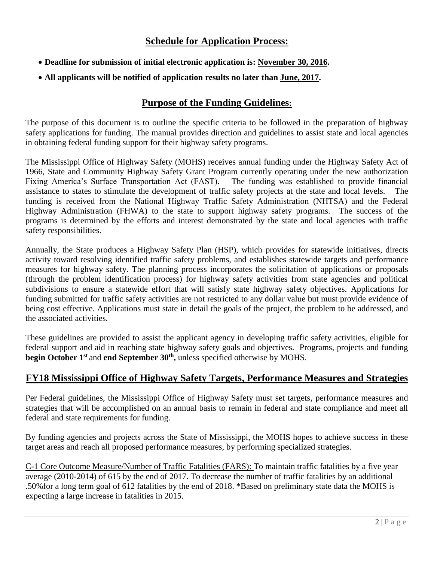### **Schedule for Application Process:**

- **Deadline for submission of initial electronic application is: November 30, 2016.**
- **All applicants will be notified of application results no later than June, 2017.**

### **Purpose of the Funding Guidelines:**

The purpose of this document is to outline the specific criteria to be followed in the preparation of highway safety applications for funding. The manual provides direction and guidelines to assist state and local agencies in obtaining federal funding support for their highway safety programs.

The Mississippi Office of Highway Safety (MOHS) receives annual funding under the Highway Safety Act of 1966, State and Community Highway Safety Grant Program currently operating under the new authorization Fixing America's Surface Transportation Act (FAST). The funding was established to provide financial assistance to states to stimulate the development of traffic safety projects at the state and local levels. The funding is received from the National Highway Traffic Safety Administration (NHTSA) and the Federal Highway Administration (FHWA) to the state to support highway safety programs. The success of the programs is determined by the efforts and interest demonstrated by the state and local agencies with traffic safety responsibilities.

Annually, the State produces a Highway Safety Plan (HSP), which provides for statewide initiatives, directs activity toward resolving identified traffic safety problems, and establishes statewide targets and performance measures for highway safety. The planning process incorporates the solicitation of applications or proposals (through the problem identification process) for highway safety activities from state agencies and political subdivisions to ensure a statewide effort that will satisfy state highway safety objectives. Applications for funding submitted for traffic safety activities are not restricted to any dollar value but must provide evidence of being cost effective. Applications must state in detail the goals of the project, the problem to be addressed, and the associated activities.

These guidelines are provided to assist the applicant agency in developing traffic safety activities, eligible for federal support and aid in reaching state highway safety goals and objectives. Programs, projects and funding **begin October 1st** and **end September 30th ,** unless specified otherwise by MOHS.

### **FY18 Mississippi Office of Highway Safety Targets, Performance Measures and Strategies**

Per Federal guidelines, the Mississippi Office of Highway Safety must set targets, performance measures and strategies that will be accomplished on an annual basis to remain in federal and state compliance and meet all federal and state requirements for funding.

By funding agencies and projects across the State of Mississippi, the MOHS hopes to achieve success in these target areas and reach all proposed performance measures, by performing specialized strategies.

C-1 Core Outcome Measure/Number of Traffic Fatalities (FARS): To maintain traffic fatalities by a five year average (2010-2014) of 615 by the end of 2017. To decrease the number of traffic fatalities by an additional .50%for a long term goal of 612 fatalities by the end of 2018. \*Based on preliminary state data the MOHS is expecting a large increase in fatalities in 2015.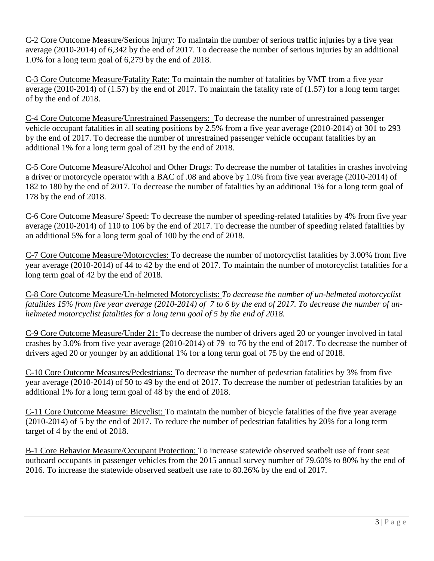C-2 Core Outcome Measure/Serious Injury: To maintain the number of serious traffic injuries by a five year average (2010-2014) of 6,342 by the end of 2017. To decrease the number of serious injuries by an additional 1.0% for a long term goal of 6,279 by the end of 2018.

C-3 Core Outcome Measure/Fatality Rate: To maintain the number of fatalities by VMT from a five year average (2010-2014) of (1.57) by the end of 2017. To maintain the fatality rate of (1.57) for a long term target of by the end of 2018.

C-4 Core Outcome Measure/Unrestrained Passengers: To decrease the number of unrestrained passenger vehicle occupant fatalities in all seating positions by 2.5% from a five year average (2010-2014) of 301 to 293 by the end of 2017. To decrease the number of unrestrained passenger vehicle occupant fatalities by an additional 1% for a long term goal of 291 by the end of 2018.

C-5 Core Outcome Measure/Alcohol and Other Drugs: To decrease the number of fatalities in crashes involving a driver or motorcycle operator with a BAC of .08 and above by 1.0% from five year average (2010-2014) of 182 to 180 by the end of 2017. To decrease the number of fatalities by an additional 1% for a long term goal of 178 by the end of 2018.

C-6 Core Outcome Measure/ Speed: To decrease the number of speeding-related fatalities by 4% from five year average (2010-2014) of 110 to 106 by the end of 2017. To decrease the number of speeding related fatalities by an additional 5% for a long term goal of 100 by the end of 2018.

C-7 Core Outcome Measure/Motorcycles: To decrease the number of motorcyclist fatalities by 3.00% from five year average (2010-2014) of 44 to 42 by the end of 2017. To maintain the number of motorcyclist fatalities for a long term goal of 42 by the end of 2018.

C-8 Core Outcome Measure/Un-helmeted Motorcyclists: *To decrease the number of un-helmeted motorcyclist fatalities 15% from five year average (2010-2014) of 7 to 6 by the end of 2017. To decrease the number of unhelmeted motorcyclist fatalities for a long term goal of 5 by the end of 2018.*

C-9 Core Outcome Measure/Under 21: To decrease the number of drivers aged 20 or younger involved in fatal crashes by 3.0% from five year average (2010-2014) of 79 to 76 by the end of 2017. To decrease the number of drivers aged 20 or younger by an additional 1% for a long term goal of 75 by the end of 2018.

C-10 Core Outcome Measures/Pedestrians: To decrease the number of pedestrian fatalities by 3% from five year average (2010-2014) of 50 to 49 by the end of 2017. To decrease the number of pedestrian fatalities by an additional 1% for a long term goal of 48 by the end of 2018.

C-11 Core Outcome Measure: Bicyclist: To maintain the number of bicycle fatalities of the five year average (2010-2014) of 5 by the end of 2017. To reduce the number of pedestrian fatalities by 20% for a long term target of 4 by the end of 2018.

B-1 Core Behavior Measure/Occupant Protection: To increase statewide observed seatbelt use of front seat outboard occupants in passenger vehicles from the 2015 annual survey number of 79.60% to 80% by the end of 2016. To increase the statewide observed seatbelt use rate to 80.26% by the end of 2017.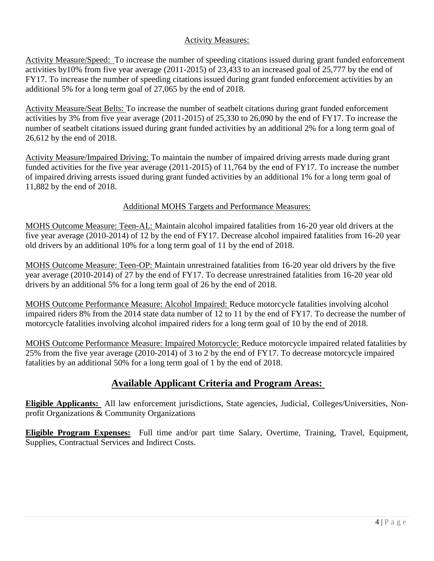#### Activity Measures:

Activity Measure/Speed: To increase the number of speeding citations issued during grant funded enforcement activities by10% from five year average (2011-2015) of 23,433 to an increased goal of 25,777 by the end of FY17. To increase the number of speeding citations issued during grant funded enforcement activities by an additional 5% for a long term goal of 27,065 by the end of 2018.

Activity Measure/Seat Belts: To increase the number of seatbelt citations during grant funded enforcement activities by 3% from five year average (2011-2015) of 25,330 to 26,090 by the end of FY17. To increase the number of seatbelt citations issued during grant funded activities by an additional 2% for a long term goal of 26,612 by the end of 2018.

Activity Measure/Impaired Driving: To maintain the number of impaired driving arrests made during grant funded activities for the five year average (2011-2015) of 11,764 by the end of FY17. To increase the number of impaired driving arrests issued during grant funded activities by an additional 1% for a long term goal of 11,882 by the end of 2018.

#### Additional MOHS Targets and Performance Measures:

MOHS Outcome Measure: Teen-AL: Maintain alcohol impaired fatalities from 16-20 year old drivers at the five year average (2010-2014) of 12 by the end of FY17. Decrease alcohol impaired fatalities from 16-20 year old drivers by an additional 10% for a long term goal of 11 by the end of 2018.

MOHS Outcome Measure: Teen-OP: Maintain unrestrained fatalities from 16-20 year old drivers by the five year average (2010-2014) of 27 by the end of FY17. To decrease unrestrained fatalities from 16-20 year old drivers by an additional 5% for a long term goal of 26 by the end of 2018.

MOHS Outcome Performance Measure: Alcohol Impaired: Reduce motorcycle fatalities involving alcohol impaired riders 8% from the 2014 state data number of 12 to 11 by the end of FY17. To decrease the number of motorcycle fatalities involving alcohol impaired riders for a long term goal of 10 by the end of 2018.

MOHS Outcome Performance Measure: Impaired Motorcycle: Reduce motorcycle impaired related fatalities by 25% from the five year average (2010-2014) of 3 to 2 by the end of FY17. To decrease motorcycle impaired fatalities by an additional 50% for a long term goal of 1 by the end of 2018.

### **Available Applicant Criteria and Program Areas:**

**Eligible Applicants:** All law enforcement jurisdictions, State agencies, Judicial, Colleges/Universities, Nonprofit Organizations & Community Organizations

**Eligible Program Expenses:** Full time and/or part time Salary, Overtime, Training, Travel, Equipment, Supplies, Contractual Services and Indirect Costs.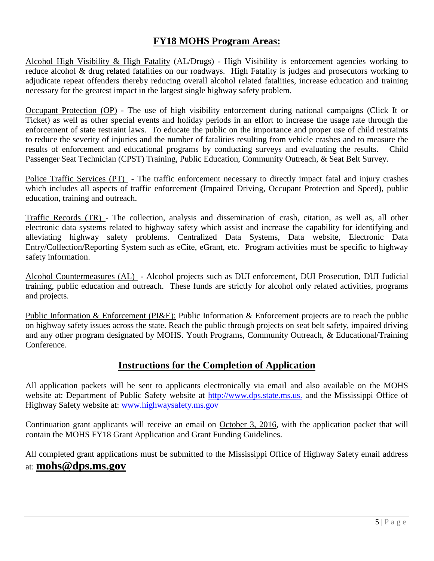### **FY18 MOHS Program Areas:**

Alcohol High Visibility & High Fatality (AL/Drugs) - High Visibility is enforcement agencies working to reduce alcohol & drug related fatalities on our roadways. High Fatality is judges and prosecutors working to adjudicate repeat offenders thereby reducing overall alcohol related fatalities, increase education and training necessary for the greatest impact in the largest single highway safety problem.

Occupant Protection (OP) - The use of high visibility enforcement during national campaigns (Click It or Ticket) as well as other special events and holiday periods in an effort to increase the usage rate through the enforcement of state restraint laws. To educate the public on the importance and proper use of child restraints to reduce the severity of injuries and the number of fatalities resulting from vehicle crashes and to measure the results of enforcement and educational programs by conducting surveys and evaluating the results. Child Passenger Seat Technician (CPST) Training, Public Education, Community Outreach, & Seat Belt Survey.

Police Traffic Services (PT) - The traffic enforcement necessary to directly impact fatal and injury crashes which includes all aspects of traffic enforcement (Impaired Driving, Occupant Protection and Speed), public education, training and outreach.

Traffic Records (TR) - The collection, analysis and dissemination of crash, citation, as well as, all other electronic data systems related to highway safety which assist and increase the capability for identifying and alleviating highway safety problems. Centralized Data Systems, Data website, Electronic Data Entry/Collection/Reporting System such as eCite, eGrant, etc. Program activities must be specific to highway safety information.

Alcohol Countermeasures (AL) - Alcohol projects such as DUI enforcement, DUI Prosecution, DUI Judicial training, public education and outreach. These funds are strictly for alcohol only related activities, programs and projects.

Public Information & Enforcement (PI&E): Public Information & Enforcement projects are to reach the public on highway safety issues across the state. Reach the public through projects on seat belt safety, impaired driving and any other program designated by MOHS. Youth Programs, Community Outreach, & Educational/Training Conference.

### **Instructions for the Completion of Application**

All application packets will be sent to applicants electronically via email and also available on the MOHS website at: Department of Public Safety website at http://www.dps.state.ms.us. and the Mississippi Office of Highway Safety website at: [www.highwaysafety.ms.gov](http://www.highwaysafety.ms.gov/)

Continuation grant applicants will receive an email on October 3, 2016, with the application packet that will contain the MOHS FY18 Grant Application and Grant Funding Guidelines.

All completed grant applications must be submitted to the Mississippi Office of Highway Safety email address at: **mohs@dps.ms.gov**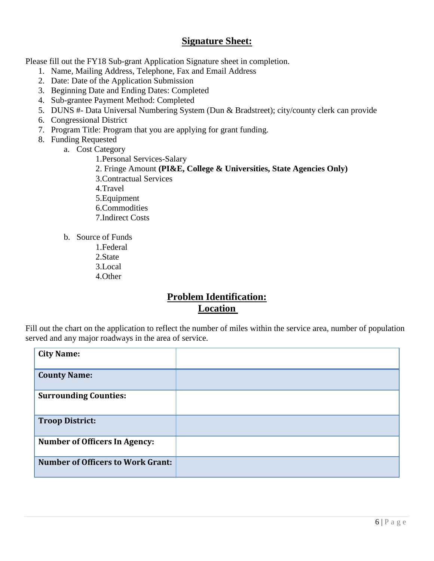### **Signature Sheet:**

Please fill out the FY18 Sub-grant Application Signature sheet in completion.

- 1. Name, Mailing Address, Telephone, Fax and Email Address
- 2. Date: Date of the Application Submission
- 3. Beginning Date and Ending Dates: Completed
- 4. Sub-grantee Payment Method: Completed
- 5. DUNS #- Data Universal Numbering System (Dun & Bradstreet); city/county clerk can provide
- 6. Congressional District
- 7. Program Title: Program that you are applying for grant funding.
- 8. Funding Requested
	- a. Cost Category

1.Personal Services-Salary

- 2. Fringe Amount **(PI&E, College & Universities, State Agencies Only)**
- 3.Contractual Services
- 4.Travel
- 5.Equipment
- 6.Commodities
- 7.Indirect Costs
- b. Source of Funds
	- 1.Federal
	- 2.State
	- 3.Local
	- 4.Other

### **Problem Identification: Location**

Fill out the chart on the application to reflect the number of miles within the service area, number of population served and any major roadways in the area of service.

| <b>City Name:</b>                        |  |
|------------------------------------------|--|
| <b>County Name:</b>                      |  |
| <b>Surrounding Counties:</b>             |  |
| <b>Troop District:</b>                   |  |
| <b>Number of Officers In Agency:</b>     |  |
| <b>Number of Officers to Work Grant:</b> |  |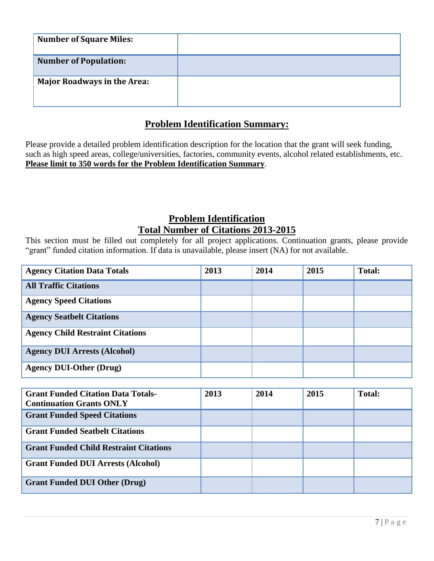| <b>Number of Square Miles:</b>     |  |
|------------------------------------|--|
| <b>Number of Population:</b>       |  |
| <b>Major Roadways in the Area:</b> |  |

### **Problem Identification Summary:**

Please provide a detailed problem identification description for the location that the grant will seek funding, such as high speed areas, college/universities, factories, community events, alcohol related establishments, etc. **Please limit to 350 words for the Problem Identification Summary**.

### **Problem Identification Total Number of Citations 2013-2015**

This section must be filled out completely for all project applications. Continuation grants, please provide "grant" funded citation information. If data is unavailable, please insert (NA) for not available.

| <b>Agency Citation Data Totals</b>      | 2013 | 2014 | 2015 | <b>Total:</b> |
|-----------------------------------------|------|------|------|---------------|
| <b>All Traffic Citations</b>            |      |      |      |               |
| <b>Agency Speed Citations</b>           |      |      |      |               |
| <b>Agency Seatbelt Citations</b>        |      |      |      |               |
| <b>Agency Child Restraint Citations</b> |      |      |      |               |
| <b>Agency DUI Arrests (Alcohol)</b>     |      |      |      |               |
| <b>Agency DUI-Other (Drug)</b>          |      |      |      |               |

| <b>Grant Funded Citation Data Totals-</b><br><b>Continuation Grants ONLY</b> | 2013 | 2014 | 2015 | <b>Total:</b> |
|------------------------------------------------------------------------------|------|------|------|---------------|
| <b>Grant Funded Speed Citations</b>                                          |      |      |      |               |
| <b>Grant Funded Seatbelt Citations</b>                                       |      |      |      |               |
| <b>Grant Funded Child Restraint Citations</b>                                |      |      |      |               |
| <b>Grant Funded DUI Arrests (Alcohol)</b>                                    |      |      |      |               |
| <b>Grant Funded DUI Other (Drug)</b>                                         |      |      |      |               |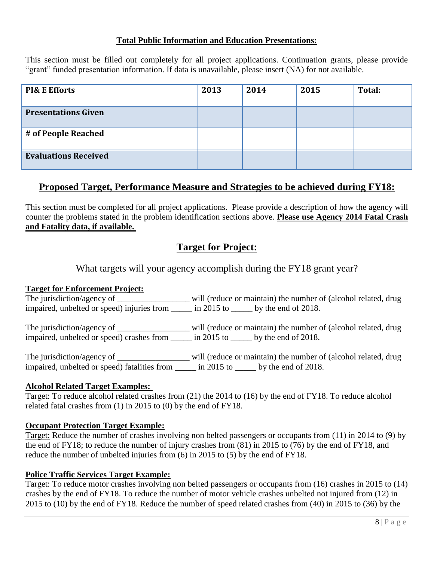#### **Total Public Information and Education Presentations:**

This section must be filled out completely for all project applications. Continuation grants, please provide "grant" funded presentation information. If data is unavailable, please insert (NA) for not available.

| <b>PI&amp; E Efforts</b>    | 2013 | 2014 | 2015 | Total: |
|-----------------------------|------|------|------|--------|
| <b>Presentations Given</b>  |      |      |      |        |
| # of People Reached         |      |      |      |        |
| <b>Evaluations Received</b> |      |      |      |        |

### **Proposed Target, Performance Measure and Strategies to be achieved during FY18:**

This section must be completed for all project applications. Please provide a description of how the agency will counter the problems stated in the problem identification sections above. **Please use Agency 2014 Fatal Crash and Fatality data, if available.**

### **Target for Project:**

What targets will your agency accomplish during the FY18 grant year?

#### **Target for Enforcement Project:**

The jurisdiction/agency of \_\_\_\_\_\_\_\_\_\_\_\_\_\_\_\_\_\_\_\_ will (reduce or maintain) the number of (alcohol related, drug impaired, unbelted or speed) injuries from \_\_\_\_\_ in 2015 to \_\_\_\_\_ by the end of 2018.

The jurisdiction/agency of \_\_\_\_\_\_\_\_\_\_\_\_\_\_\_\_\_\_\_\_ will (reduce or maintain) the number of (alcohol related, drug impaired, unbelted or speed) crashes from \_\_\_\_\_ in 2015 to \_\_\_\_\_ by the end of 2018.

The jurisdiction/agency of \_\_\_\_\_\_\_\_\_\_\_\_\_\_\_\_\_\_\_ will (reduce or maintain) the number of (alcohol related, drug impaired, unbelted or speed) fatalities from \_\_\_\_\_ in 2015 to \_\_\_\_\_ by the end of 2018.

#### **Alcohol Related Target Examples:**

Target: To reduce alcohol related crashes from (21) the 2014 to (16) by the end of FY18. To reduce alcohol related fatal crashes from (1) in 2015 to (0) by the end of FY18.

#### **Occupant Protection Target Example:**

Target: Reduce the number of crashes involving non belted passengers or occupants from (11) in 2014 to (9) by the end of FY18; to reduce the number of injury crashes from (81) in 2015 to (76) by the end of FY18, and reduce the number of unbelted injuries from (6) in 2015 to (5) by the end of FY18.

#### **Police Traffic Services Target Example:**

Target: To reduce motor crashes involving non belted passengers or occupants from (16) crashes in 2015 to (14) crashes by the end of FY18. To reduce the number of motor vehicle crashes unbelted not injured from (12) in 2015 to (10) by the end of FY18. Reduce the number of speed related crashes from (40) in 2015 to (36) by the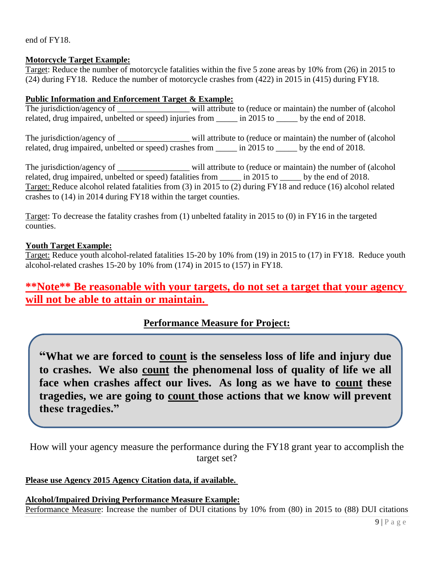end of FY18.

#### **Motorcycle Target Example:**

Target: Reduce the number of motorcycle fatalities within the five 5 zone areas by 10% from (26) in 2015 to (24) during FY18. Reduce the number of motorcycle crashes from (422) in 2015 in (415) during FY18.

#### **Public Information and Enforcement Target & Example:**

The jurisdiction/agency of \_\_\_\_\_\_\_\_\_\_\_\_\_\_\_\_\_\_\_\_ will attribute to (reduce or maintain) the number of (alcohol related, drug impaired, unbelted or speed) injuries from  $\frac{1}{2015}$  to by the end of 2018.

The jurisdiction/agency of \_\_\_\_\_\_\_\_\_\_\_\_\_\_\_\_\_\_\_\_ will attribute to (reduce or maintain) the number of (alcohol related, drug impaired, unbelted or speed) crashes from \_\_\_\_\_ in 2015 to \_\_\_\_\_ by the end of 2018.

The jurisdiction/agency of \_\_\_\_\_\_\_\_\_\_\_\_\_\_\_\_\_\_\_\_\_ will attribute to (reduce or maintain) the number of (alcohol related, drug impaired, unbelted or speed) fatalities from  $\frac{1}{2015}$  to by the end of 2018. Target: Reduce alcohol related fatalities from (3) in 2015 to (2) during FY18 and reduce (16) alcohol related crashes to (14) in 2014 during FY18 within the target counties.

Target: To decrease the fatality crashes from (1) unbelted fatality in 2015 to (0) in FY16 in the targeted counties.

#### **Youth Target Example:**

Target: Reduce youth alcohol-related fatalities 15-20 by 10% from (19) in 2015 to (17) in FY18. Reduce youth alcohol-related crashes 15-20 by 10% from (174) in 2015 to (157) in FY18.

### **\*\*Note\*\* Be reasonable with your targets, do not set a target that your agency will not be able to attain or maintain.**

### **Performance Measure for Project:**

**"What we are forced to count is the senseless loss of life and injury due to crashes. We also count the phenomenal loss of quality of life we all face when crashes affect our lives. As long as we have to count these tragedies, we are going to count those actions that we know will prevent these tragedies."**

How will your agency measure the performance during the FY18 grant year to accomplish the target set?

#### **Please use Agency 2015 Agency Citation data, if available.**

**Alcohol/Impaired Driving Performance Measure Example:** Performance Measure: Increase the number of DUI citations by 10% from (80) in 2015 to (88) DUI citations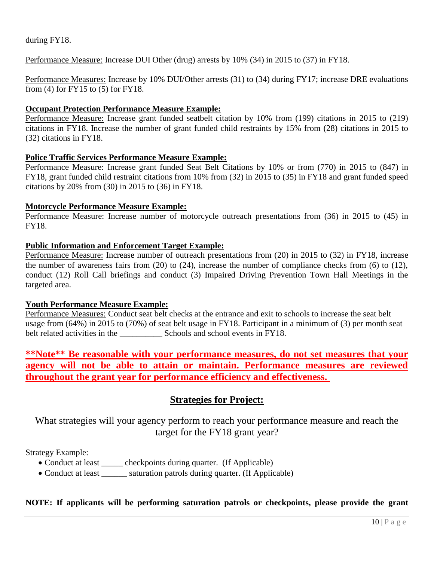during FY18.

Performance Measure: Increase DUI Other (drug) arrests by 10% (34) in 2015 to (37) in FY18.

Performance Measures: Increase by 10% DUI/Other arrests (31) to (34) during FY17; increase DRE evaluations from (4) for FY15 to (5) for FY18.

#### **Occupant Protection Performance Measure Example:**

Performance Measure: Increase grant funded seatbelt citation by 10% from (199) citations in 2015 to (219) citations in FY18. Increase the number of grant funded child restraints by 15% from (28) citations in 2015 to (32) citations in FY18.

#### **Police Traffic Services Performance Measure Example:**

Performance Measure: Increase grant funded Seat Belt Citations by 10% or from (770) in 2015 to (847) in FY18, grant funded child restraint citations from 10% from (32) in 2015 to (35) in FY18 and grant funded speed citations by 20% from (30) in 2015 to (36) in FY18.

#### **Motorcycle Performance Measure Example:**

Performance Measure: Increase number of motorcycle outreach presentations from (36) in 2015 to (45) in FY18.

#### **Public Information and Enforcement Target Example:**

Performance Measure: Increase number of outreach presentations from (20) in 2015 to (32) in FY18, increase the number of awareness fairs from (20) to (24), increase the number of compliance checks from (6) to (12), conduct (12) Roll Call briefings and conduct (3) Impaired Driving Prevention Town Hall Meetings in the targeted area.

#### **Youth Performance Measure Example:**

Performance Measures: Conduct seat belt checks at the entrance and exit to schools to increase the seat belt usage from (64%) in 2015 to (70%) of seat belt usage in FY18. Participant in a minimum of (3) per month seat belt related activities in the \_\_\_\_\_\_\_\_\_\_ Schools and school events in FY18.

**\*\*Note\*\* Be reasonable with your performance measures, do not set measures that your agency will not be able to attain or maintain. Performance measures are reviewed throughout the grant year for performance efficiency and effectiveness.** 

### **Strategies for Project:**

What strategies will your agency perform to reach your performance measure and reach the target for the FY18 grant year?

Strategy Example:

- Conduct at least \_\_\_\_\_ checkpoints during quarter. (If Applicable)
- Conduct at least \_\_\_\_\_\_\_ saturation patrols during quarter. (If Applicable)

#### **NOTE: If applicants will be performing saturation patrols or checkpoints, please provide the grant**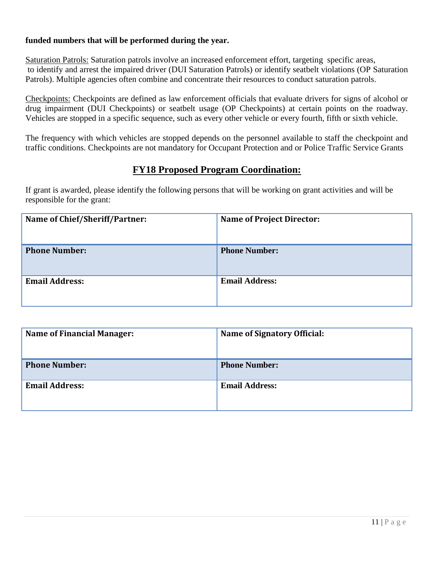#### **funded numbers that will be performed during the year.**

Saturation Patrols: Saturation patrols involve an increased enforcement effort, targeting specific areas, to identify and arrest the impaired driver (DUI Saturation Patrols) or identify seatbelt violations (OP Saturation Patrols). Multiple agencies often combine and concentrate their resources to conduct saturation patrols.

Checkpoints: Checkpoints are defined as law enforcement officials that evaluate drivers for signs of alcohol or drug impairment (DUI Checkpoints) or seatbelt usage (OP Checkpoints) at certain points on the roadway. Vehicles are stopped in a specific sequence, such as every other vehicle or every fourth, fifth or sixth vehicle.

The frequency with which vehicles are stopped depends on the personnel available to staff the checkpoint and traffic conditions. Checkpoints are not mandatory for Occupant Protection and or Police Traffic Service Grants

### **FY18 Proposed Program Coordination:**

If grant is awarded, please identify the following persons that will be working on grant activities and will be responsible for the grant:

| Name of Chief/Sheriff/Partner: | <b>Name of Project Director:</b> |
|--------------------------------|----------------------------------|
| <b>Phone Number:</b>           | <b>Phone Number:</b>             |
| <b>Email Address:</b>          | <b>Email Address:</b>            |

| <b>Name of Financial Manager:</b> | Name of Signatory Official: |
|-----------------------------------|-----------------------------|
| <b>Phone Number:</b>              | <b>Phone Number:</b>        |
| <b>Email Address:</b>             | <b>Email Address:</b>       |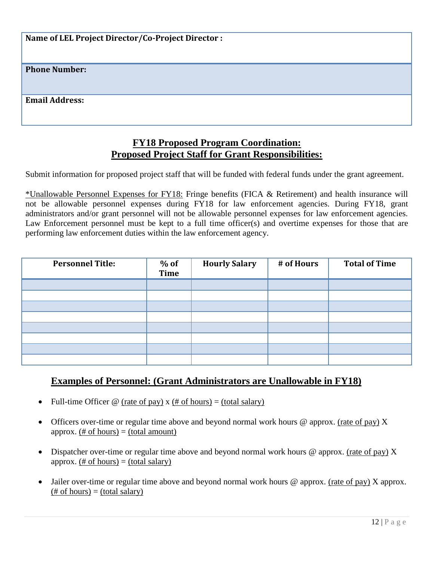**Name of LEL Project Director/Co-Project Director :**

**Phone Number:**

**Email Address:**

### **FY18 Proposed Program Coordination: Proposed Project Staff for Grant Responsibilities:**

Submit information for proposed project staff that will be funded with federal funds under the grant agreement.

\*Unallowable Personnel Expenses for FY18: Fringe benefits (FICA & Retirement) and health insurance will not be allowable personnel expenses during FY18 for law enforcement agencies. During FY18, grant administrators and/or grant personnel will not be allowable personnel expenses for law enforcement agencies. Law Enforcement personnel must be kept to a full time officer(s) and overtime expenses for those that are performing law enforcement duties within the law enforcement agency.

| <b>Personnel Title:</b> | $%$ of<br><b>Time</b> | <b>Hourly Salary</b> | # of Hours | <b>Total of Time</b> |
|-------------------------|-----------------------|----------------------|------------|----------------------|
|                         |                       |                      |            |                      |
|                         |                       |                      |            |                      |
|                         |                       |                      |            |                      |
|                         |                       |                      |            |                      |
|                         |                       |                      |            |                      |
|                         |                       |                      |            |                      |
|                         |                       |                      |            |                      |
|                         |                       |                      |            |                      |

### **Examples of Personnel: (Grant Administrators are Unallowable in FY18)**

- Full-time Officer  $\circledcirc$  (rate of pay) x (# of hours) = (total salary)
- Officers over-time or regular time above and beyond normal work hours  $\omega$  approx. (rate of pay) X approx. (# of hours)  $=$  (total amount)
- Dispatcher over-time or regular time above and beyond normal work hours  $\omega$  approx. (rate of pay) X approx.  $(\# \text{ of hours}) = (total salary)$
- Jailer over-time or regular time above and beyond normal work hours @ approx. (rate of pay) X approx.  $(\# \text{ of hours}) = (\text{total salary})$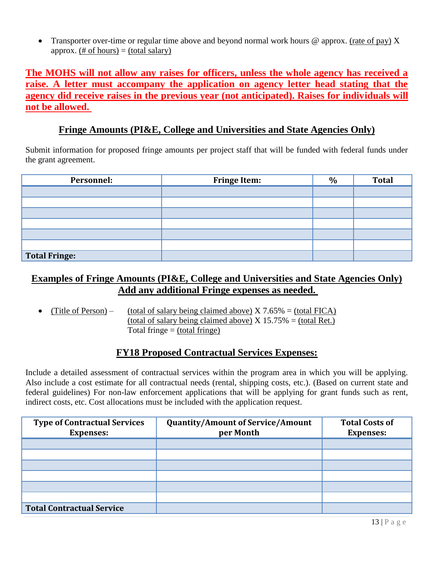• Transporter over-time or regular time above and beyond normal work hours  $\omega$  approx. (rate of pay) X approx. (# of hours)  $=$  (total salary)

**The MOHS will not allow any raises for officers, unless the whole agency has received a raise. A letter must accompany the application on agency letter head stating that the agency did receive raises in the previous year (not anticipated). Raises for individuals will not be allowed.** 

### **Fringe Amounts (PI&E, College and Universities and State Agencies Only)**

Submit information for proposed fringe amounts per project staff that will be funded with federal funds under the grant agreement.

| Personnel:    | <b>Fringe Item:</b> | $\%$ | <b>Total</b> |
|---------------|---------------------|------|--------------|
|               |                     |      |              |
|               |                     |      |              |
|               |                     |      |              |
|               |                     |      |              |
|               |                     |      |              |
|               |                     |      |              |
| Total Fringe: |                     |      |              |

### **Examples of Fringe Amounts (PI&E, College and Universities and State Agencies Only) Add any additional Fringe expenses as needed.**

(Title of Person) – (total of salary being claimed above)  $X$  7.65% = (total FICA) (total of salary being claimed above)  $X$  15.75% = (total Ret.) Total fringe  $=$  (total fringe)

### **FY18 Proposed Contractual Services Expenses:**

Include a detailed assessment of contractual services within the program area in which you will be applying. Also include a cost estimate for all contractual needs (rental, shipping costs, etc.). (Based on current state and federal guidelines) For non-law enforcement applications that will be applying for grant funds such as rent, indirect costs, etc. Cost allocations must be included with the application request.

| <b>Type of Contractual Services</b><br><b>Expenses:</b> | <b>Quantity/Amount of Service/Amount</b><br>per Month | <b>Total Costs of</b><br><b>Expenses:</b> |
|---------------------------------------------------------|-------------------------------------------------------|-------------------------------------------|
|                                                         |                                                       |                                           |
|                                                         |                                                       |                                           |
|                                                         |                                                       |                                           |
|                                                         |                                                       |                                           |
|                                                         |                                                       |                                           |
|                                                         |                                                       |                                           |
| <b>Total Contractual Service</b>                        |                                                       |                                           |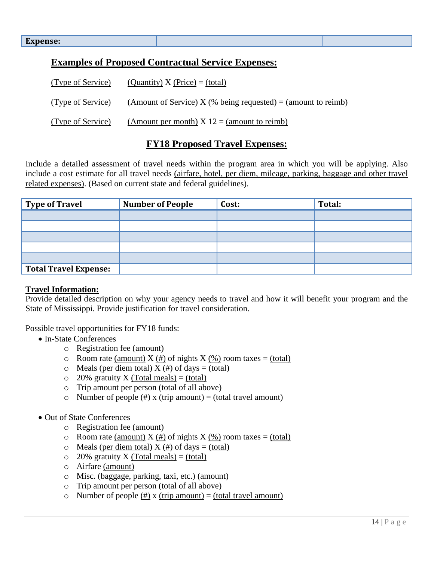### **Examples of Proposed Contractual Service Expenses:**

| (Type of Service) | (Quantity) X (Price) = (total)                                |
|-------------------|---------------------------------------------------------------|
| (Type of Service) | (Amount of Service) X (% being requested) = (amount to reimb) |
| (Type of Service) | (Amount per month) $X 12 =$ (amount to reimb)                 |

### **FY18 Proposed Travel Expenses:**

Include a detailed assessment of travel needs within the program area in which you will be applying. Also include a cost estimate for all travel needs (airfare, hotel, per diem, mileage, parking, baggage and other travel related expenses). (Based on current state and federal guidelines).

| <b>Type of Travel</b>        | <b>Number of People</b> | Cost: | Total: |
|------------------------------|-------------------------|-------|--------|
|                              |                         |       |        |
|                              |                         |       |        |
|                              |                         |       |        |
|                              |                         |       |        |
|                              |                         |       |        |
| <b>Total Travel Expense:</b> |                         |       |        |

#### **Travel Information:**

Provide detailed description on why your agency needs to travel and how it will benefit your program and the State of Mississippi. Provide justification for travel consideration.

Possible travel opportunities for FY18 funds:

- In-State Conferences
	- o Registration fee (amount)
	- $\circ$  Room rate (amount) X (#) of nights X (%) room taxes = (total)
	- $\circ$  Meals (per diem total) X (#) of days = (total)
	- $\degree$  20% gratuity X (Total meals) = (total)
	- o Trip amount per person (total of all above)
	- o Number of people  $(\#)$  x (trip amount) = (total travel amount)
- Out of State Conferences
	- o Registration fee (amount)
	- $\circ$  Room rate (amount) X (#) of nights X (%) room taxes = (total)
	- $\circ$  Meals (per diem total) X (#) of days = (total)
	- $\degree$  20% gratuity X (Total meals) = (total)
	- o Airfare (amount)
	- o Misc. (baggage, parking, taxi, etc.) (amount)
	- o Trip amount per person (total of all above)
	- o Number of people  $(\#)$  x (trip amount) = (total travel amount)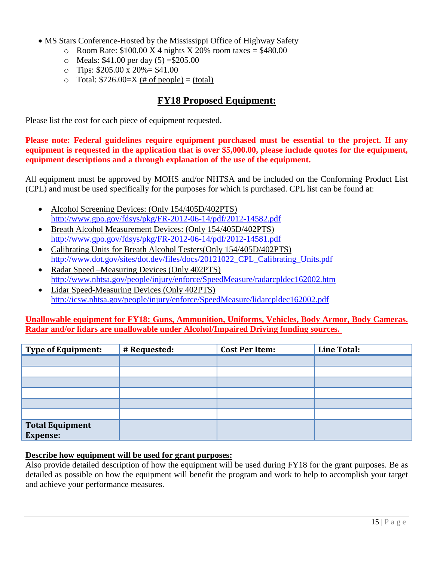- MS Stars Conference-Hosted by the Mississippi Office of Highway Safety
	- o Room Rate:  $$100.00 \text{ X } 4 \text{ nights } X 20\% \text{ room taxes} = $480.00$
	- o Meals:  $$41.00$  per day  $(5) = $205.00$
	- $\degree$  Tips: \$205.00 x 20% = \$41.00
	- $\circ$  Total: \$726.00=X (# of people) = (total)

### **FY18 Proposed Equipment:**

Please list the cost for each piece of equipment requested.

**Please note: Federal guidelines require equipment purchased must be essential to the project. If any equipment is requested in the application that is over \$5,000.00, please include quotes for the equipment, equipment descriptions and a through explanation of the use of the equipment.** 

All equipment must be approved by MOHS and/or NHTSA and be included on the Conforming Product List (CPL) and must be used specifically for the purposes for which is purchased. CPL list can be found at:

- Alcohol Screening Devices: (Only 154/405D/402PTS) <http://www.gpo.gov/fdsys/pkg/FR-2012-06-14/pdf/2012-14582.pdf>
- Breath Alcohol Measurement Devices: (Only 154/405D/402PTS) <http://www.gpo.gov/fdsys/pkg/FR-2012-06-14/pdf/2012-14581.pdf>
- Calibrating Units for Breath Alcohol Testers(Only 154/405D/402PTS) [http://www.dot.gov/sites/dot.dev/files/docs/20121022\\_CPL\\_Calibrating\\_Units.pdf](http://www.dot.gov/sites/dot.dev/files/docs/20121022_CPL_Calibrating_Units.pdf)
- Radar Speed –Measuring Devices (Only 402PTS) <http://www.nhtsa.gov/people/injury/enforce/SpeedMeasure/radarcpldec162002.htm>
- Lidar Speed-Measuring Devices (Only 402PTS) <http://icsw.nhtsa.gov/people/injury/enforce/SpeedMeasure/lidarcpldec162002.pdf>

#### **Unallowable equipment for FY18: Guns, Ammunition, Uniforms, Vehicles, Body Armor, Body Cameras. Radar and/or lidars are unallowable under Alcohol/Impaired Driving funding sources.**

| <b>Type of Equipment:</b>                 | # Requested: | <b>Cost Per Item:</b> | <b>Line Total:</b> |
|-------------------------------------------|--------------|-----------------------|--------------------|
|                                           |              |                       |                    |
|                                           |              |                       |                    |
|                                           |              |                       |                    |
|                                           |              |                       |                    |
|                                           |              |                       |                    |
|                                           |              |                       |                    |
| <b>Total Equipment</b><br><b>Expense:</b> |              |                       |                    |

#### **Describe how equipment will be used for grant purposes:**

Also provide detailed description of how the equipment will be used during FY18 for the grant purposes. Be as detailed as possible on how the equipment will benefit the program and work to help to accomplish your target and achieve your performance measures.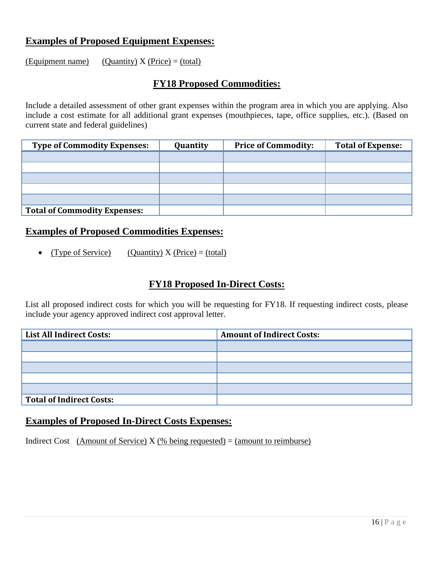### **Examples of Proposed Equipment Expenses:**

(Equipment name) (Quantity)  $X$  (Price) = (total)

### **FY18 Proposed Commodities:**

Include a detailed assessment of other grant expenses within the program area in which you are applying. Also include a cost estimate for all additional grant expenses (mouthpieces, tape, office supplies, etc.). (Based on current state and federal guidelines)

| <b>Type of Commodity Expenses:</b>  | Quantity | <b>Price of Commodity:</b> | <b>Total of Expense:</b> |
|-------------------------------------|----------|----------------------------|--------------------------|
|                                     |          |                            |                          |
|                                     |          |                            |                          |
|                                     |          |                            |                          |
|                                     |          |                            |                          |
|                                     |          |                            |                          |
| <b>Total of Commodity Expenses:</b> |          |                            |                          |

### **Examples of Proposed Commodities Expenses:**

• (Type of Service) (Quantity)  $X$  (Price) = (total)

### **FY18 Proposed In-Direct Costs:**

List all proposed indirect costs for which you will be requesting for FY18. If requesting indirect costs, please include your agency approved indirect cost approval letter.

| <b>List All Indirect Costs:</b> | <b>Amount of Indirect Costs:</b> |
|---------------------------------|----------------------------------|
|                                 |                                  |
|                                 |                                  |
|                                 |                                  |
|                                 |                                  |
|                                 |                                  |
| Total of Indirect Costs:        |                                  |

### **Examples of Proposed In-Direct Costs Expenses:**

Indirect Cost (Amount of Service)  $X$  (% being requested) = (amount to reimburse)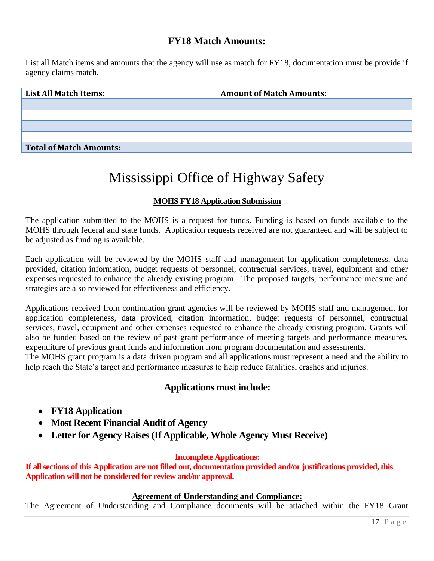### **FY18 Match Amounts:**

List all Match items and amounts that the agency will use as match for FY18, documentation must be provide if agency claims match.

| <b>List All Match Items:</b> | <b>Amount of Match Amounts:</b> |
|------------------------------|---------------------------------|
|                              |                                 |
|                              |                                 |
|                              |                                 |
|                              |                                 |
| Total of Match Amounts:      |                                 |

## Mississippi Office of Highway Safety

#### **MOHS FY18 Application Submission**

The application submitted to the MOHS is a request for funds. Funding is based on funds available to the MOHS through federal and state funds. Application requests received are not guaranteed and will be subject to be adjusted as funding is available.

Each application will be reviewed by the MOHS staff and management for application completeness, data provided, citation information, budget requests of personnel, contractual services, travel, equipment and other expenses requested to enhance the already existing program. The proposed targets, performance measure and strategies are also reviewed for effectiveness and efficiency.

Applications received from continuation grant agencies will be reviewed by MOHS staff and management for application completeness, data provided, citation information, budget requests of personnel, contractual services, travel, equipment and other expenses requested to enhance the already existing program. Grants will also be funded based on the review of past grant performance of meeting targets and performance measures, expenditure of previous grant funds and information from program documentation and assessments.

The MOHS grant program is a data driven program and all applications must represent a need and the ability to help reach the State's target and performance measures to help reduce fatalities, crashes and injuries.

### **Applications must include:**

- **FY18 Application**
- **Most Recent Financial Audit of Agency**
- **Letter for Agency Raises (If Applicable, Whole Agency Must Receive)**

#### **Incomplete Applications:**

**If all sections of this Application are not filled out, documentation provided and/or justifications provided, this Application will not be considered for review and/or approval.** 

#### **Agreement of Understanding and Compliance:**

The Agreement of Understanding and Compliance documents will be attached within the FY18 Grant